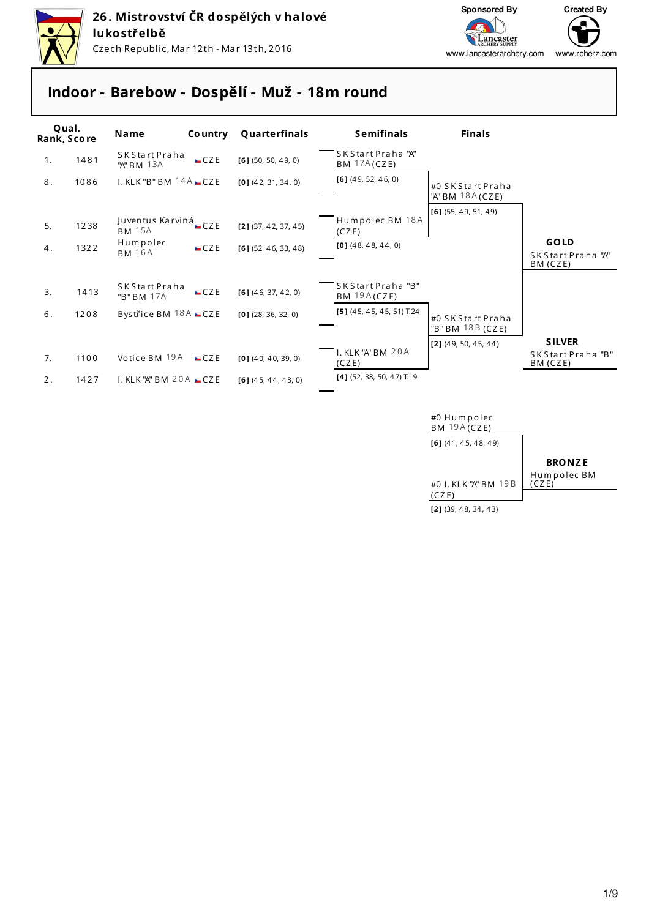



## **Indoor - Barebow - Dospělí - Muž - 18m round**



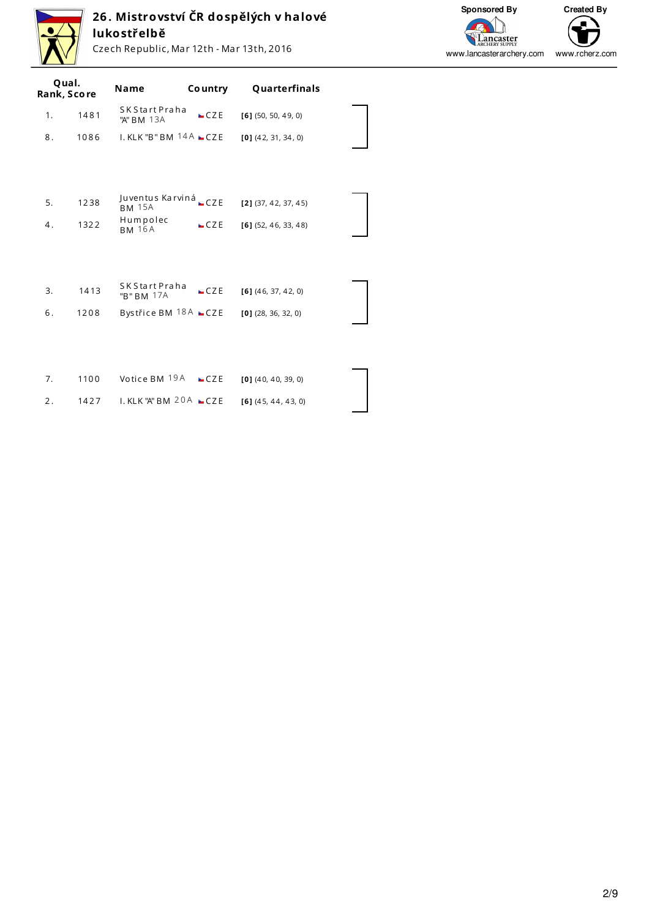

# **26 . Mistrovství ČR dospělých v halové lukostřelbě**

Czech Republic, Mar 12th - Mar 13th, 2016



www.lancasterarchery.com www.rcherz.com

| Qual.<br>Rank, Score |      | <b>Name</b>                    | Co untry | Quarterfinals          |  |
|----------------------|------|--------------------------------|----------|------------------------|--|
| 1.                   | 1481 | S K S tart Praha<br>"A" BM 13A | CZE      | $[6]$ (50, 50, 49, 0)  |  |
| 8.                   | 1086 | $I.$ KLK "B" BM $14A$ $CZE$    |          | $[0]$ (42, 31, 34, 0)  |  |
|                      |      |                                |          |                        |  |
|                      |      | Juventus Karviná               |          |                        |  |
| 5.                   | 1238 | <b>BM 15A</b>                  | CZE      | $[2]$ (37, 42, 37, 45) |  |
| 4.                   | 1322 | Humpolec<br><b>BM 16A</b>      | CZE      | $[6]$ (52, 46, 33, 48) |  |
|                      |      |                                |          |                        |  |
|                      |      |                                |          |                        |  |
| 3.                   | 1413 | S K S tart Praha<br>"B" BM 17A | CZE      | $[6]$ (46, 37, 42, 0)  |  |
| 6.                   | 1208 | Bystřice BM 18A CZE            |          | $[0]$ (28, 36, 32, 0)  |  |
|                      |      |                                |          |                        |  |
|                      |      |                                |          |                        |  |
| 7.                   | 1100 | Votice BM 19A                  | CZE      | $[0]$ (40, 40, 39, 0)  |  |
| 2.                   | 1427 | $I.$ KLK "A" BM 20A $CZE$      |          | $[6]$ (45, 44, 43, 0)  |  |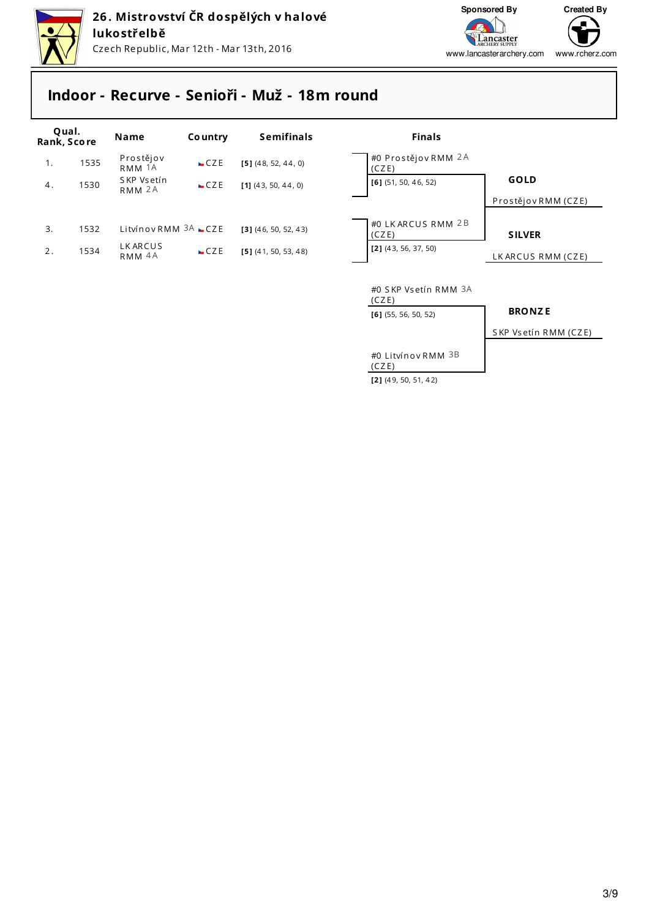



# **Indoor - Recurve - Senioři - Muž - 18m round**

| Qual.<br>Rank, Score |      | Name                            | <b>Country</b> | <b>Semifinals</b>      | <b>Finals</b>                                           |                      |
|----------------------|------|---------------------------------|----------------|------------------------|---------------------------------------------------------|----------------------|
| 1.                   | 1535 | Prostějov<br>RMM 1A             | CZE            | $[5]$ (48, 52, 44, 0)  | #0 Prostějov RMM 2A<br>(CZE)                            |                      |
| 4.                   | 1530 | SKP Vsetín<br>RMM <sub>2A</sub> | CZE            | $[1]$ (43, 50, 44, 0)  | $[6]$ (51, 50, 46, 52)                                  | <b>GOLD</b>          |
|                      |      |                                 |                |                        |                                                         | Prostějov RMM (CZE)  |
| 3.                   | 1532 | Litvínov RMM $3A$ $CZE$         |                | $[3]$ (46, 50, 52, 43) | #0 LK ARCUS RMM 2B<br>(CZE)                             | <b>SILVER</b>        |
| 2.                   | 1534 | <b>LKARCUS</b><br>RMM 4A        | CZE            | $[5]$ (41, 50, 53, 48) | $[2]$ (43, 56, 37, 50)                                  | LK ARCUS RMM (CZE)   |
|                      |      |                                 |                |                        | #0 SKP Vsetín RMM 3A<br>(CZE)<br>$[6]$ (55, 56, 50, 52) | <b>BRONZE</b>        |
|                      |      |                                 |                |                        |                                                         | SKP Vsetín RMM (CZE) |
|                      |      |                                 |                |                        | #0 Litvínov RMM 3B<br>(CZE)                             |                      |

**[2 ]** (4 9, 50, 51, 4 2)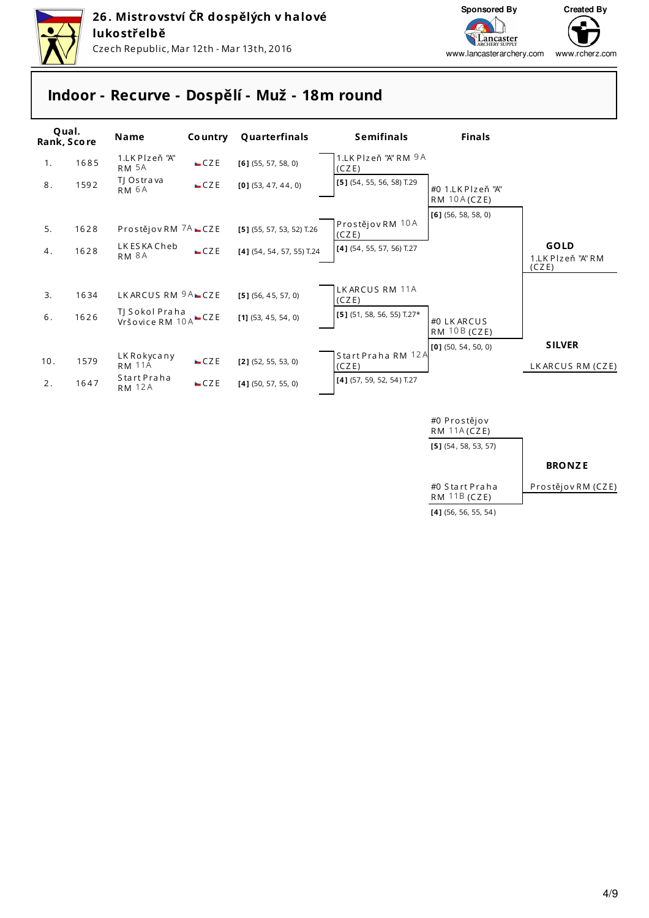



www.rcherz.com www.lancasterarchery.com

## **Indoor - Recurve - Dospělí - Muž - 18m round**



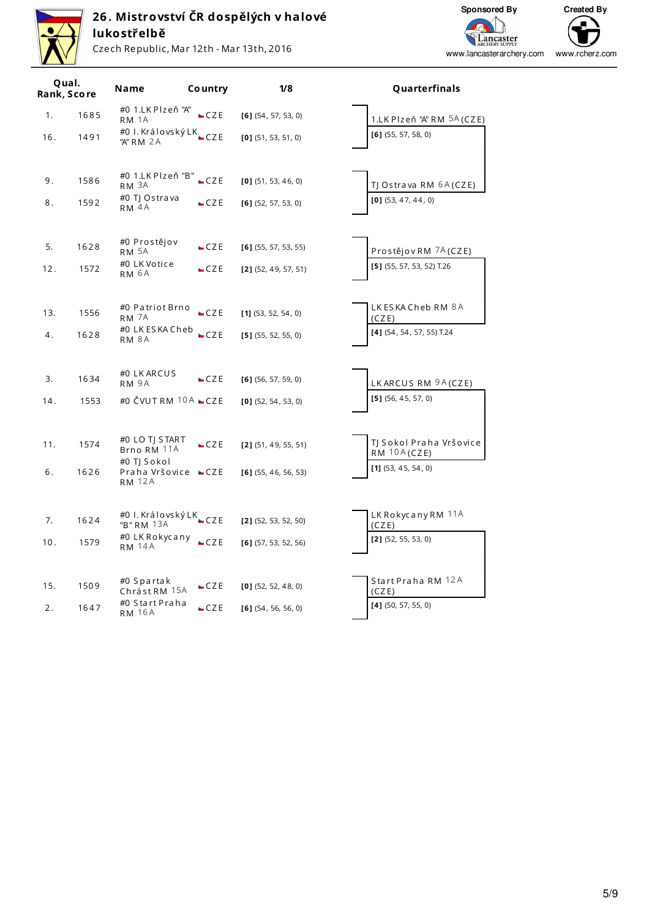

## **26 . Mistrovství ČR dospělých v halové lukostřelbě**

Czech Republic, Mar 12th - Mar 13th, 2016

**Sponsored By Created By** ⊆ **Lancaster**<br>ARCHERY SUPPLY www.lancasterarchery.comwww.rcherz.com

|     | Qual.<br>Rank, Score | Name                                         | Co untry | 1/8                    | Quarterfinals                            |
|-----|----------------------|----------------------------------------------|----------|------------------------|------------------------------------------|
| 1.  | 1685                 | #0 1.LK Plzeň "A"<br>RM <sub>1A</sub>        | CZE      | $[6]$ (54, 57, 53, 0)  | 1.LK Plzeň "A" RM 5A (CZE)               |
| 16. | 1491                 | #0 I. Královský LK_czE<br>"A" RM 2A          |          | $[0]$ (51, 53, 51, 0)  | $[6]$ (55, 57, 58, 0)                    |
| 9.  | 1586                 | #0 1.LK Plzeň "B"<br>RM 3A                   | $-CZE$   | $[0]$ (51, 53, 46, 0)  | TJ Ostrava RM <sup>6A</sup> (CZE)        |
| 8.  | 1592                 | #0 TJ Ostrava<br>RM <sub>4</sub> A           | CZE      | $[6]$ (52, 57, 53, 0)  | $[0]$ (53, 47, 44, 0)                    |
| 5.  | 1628                 | #0 Prostějov<br>RM 5A                        | CZE      | $[6]$ (55, 57, 53, 55) | Prostějov RM 7A (CZE)                    |
| 12. | 1572                 | #0 LK Votice<br>RM 6A                        | CZE      | $[2]$ (52, 49, 57, 51) | $[5]$ (55, 57, 53, 52) T.26              |
| 13. | 1556                 | #0 Patriot Brno<br>RM <sub>7A</sub>          | CZE      | $[1]$ (53, 52, 54, 0)  | LK ES KA Cheb RM 8A<br>(CZE)             |
| 4.  | 1628                 | #0 LK ES KA Cheb<br><b>RM 8A</b>             | CZE      | $[5]$ (55, 52, 55, 0)  | $[4]$ (54, 54, 57, 55) T.24              |
| 3.  | 1634                 | #0 LK ARCUS<br>RM 9A                         | $-CZE$   | $[6]$ (56, 57, 59, 0)  | LK ARCUS RM 9A (CZE)                     |
| 14. | 1553                 | #0 ČVUTRM $10A$ $CZE$                        |          | $[0]$ (52, 54, 53, 0)  | $[5]$ (56, 45, 57, 0)                    |
| 11. | 1574                 | #0 LO TJ START<br>Brno RM 11A<br>#0 TJ Sokol | CZE      | $[2]$ (51, 49, 55, 51) | TJ Sokol Praha Vršovice<br>$RM$ 10A(CZE) |
| 6.  | 1626                 | Praha Vršovice ■CZE<br><b>RM 12A</b>         |          | $[6]$ (55, 46, 56, 53) | $[1]$ (53, 45, 54, 0)                    |
| 7.  | 1624                 | #0 I. Královský LK _CZE<br>"B" RM 13A        |          | $[2]$ (52, 53, 52, 50) | LK Rokycany RM 11A<br>(CZE)              |
| 10. | 1579                 | #0 LK Rokycany<br><b>RM 14A</b>              | CZE      | $[6]$ (57, 53, 52, 56) | $[2]$ (52, 55, 53, 0)                    |
| 15. | 1509                 | #0 Spartak<br>Chrást RM 15A                  | $-CZE$   | $[0]$ (52, 52, 48, 0)  | Start Praha RM 12A<br>(CZE)              |
| 2.  | 1647                 | #0 Start Praha<br><b>RM 16A</b>              | CZE      | $[6]$ (54, 56, 56, 0)  | $[4]$ (50, 57, 55, 0)                    |

#### **Name Co untry 1/8 Quarterfinals**

| 1.LK Plzeň "A" RM 5A (CZE)                    |
|-----------------------------------------------|
| $[6]$ (55, 57, 58, 0)                         |
|                                               |
|                                               |
| TJ Ostrava RM 6A (CZE)                        |
| $[0]$ (53, 47, 44, 0)                         |
|                                               |
|                                               |
| Prostějov RM 7A (CZE)                         |
| [5] (55, 57, 53, 52) T.26                     |
|                                               |
|                                               |
| LK ES KA Cheb RM 8A                           |
| (CZE)<br>[4] (54, 54, 57, 55) T.24            |
|                                               |
|                                               |
|                                               |
| LK ARCUS RM 9A (CZE)<br>$[5]$ (56, 45, 57, 0) |
|                                               |
|                                               |
| TJ Sokol Praha Vršovice                       |
| <b>RM 10A(CZE)</b>                            |
| $[1]$ (53, 45, 54, 0)                         |
|                                               |
|                                               |
| LK Rokycany RM 11A<br>(CZE)                   |
| $[2]$ (52, 55, 53, 0)                         |
|                                               |
|                                               |
| Start Praha RM 12A<br>(CZE)                   |
| $[4]$ (50, 57, 55, 0)                         |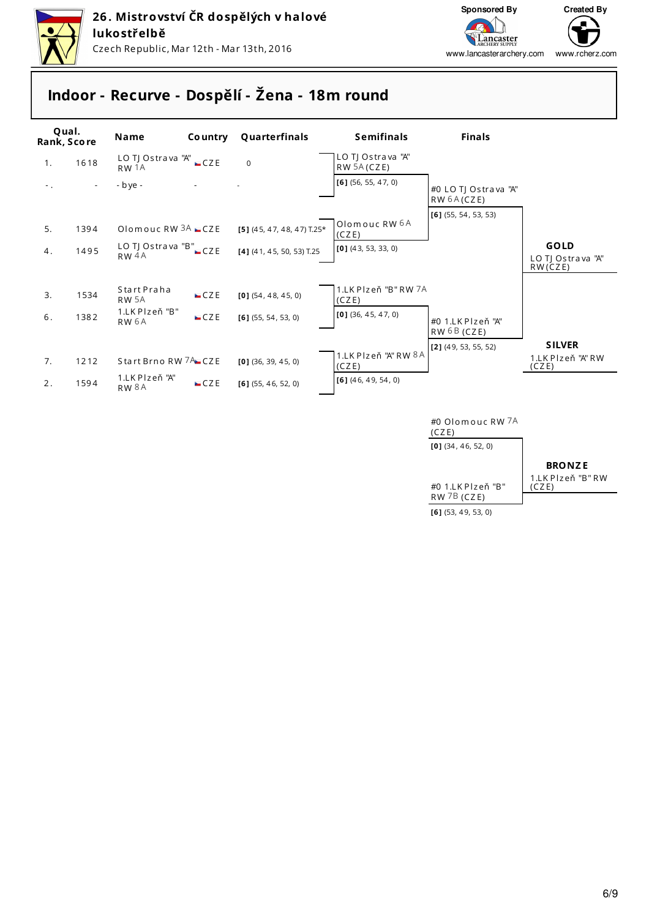



www.rcherz.com www.lancasterarchery.com

# **Indoor - Recurve - Dospělí - Žena - 18m round**

| Qual.<br>Rank, Score |                          | Name                                      | <b>Country</b> | Quarterfinals                | <b>Semifinals</b>                | <b>Finals</b>                                  |                                  |
|----------------------|--------------------------|-------------------------------------------|----------------|------------------------------|----------------------------------|------------------------------------------------|----------------------------------|
| 1.                   | 1618                     | LO TJ Ostrava "A" CZE<br>RW <sub>1A</sub> |                | $\Omega$                     | LO TJ Ostrava "A"<br>RW 5A (CZE) |                                                |                                  |
| $-$ .                | $\overline{\phantom{a}}$ | - bye -                                   |                |                              | $[6]$ (56, 55, 47, 0)            | #0 LO TJ Ostrava "A"<br>RW <sup>6</sup> A(CZE) |                                  |
| 5.                   | 1394                     | Olomouc RW $3A$ $CZE$                     |                | $[5]$ (45, 47, 48, 47) T.25* | Olomouc RW 6A                    | $[6]$ (55, 54, 53, 53)                         |                                  |
| 4.                   | 1495                     | LO TJ Ostrava "B" CZE<br>RW <sub>4A</sub> |                | $[4]$ (41, 45, 50, 53) T.25  | (CZE)<br>$[0]$ (43, 53, 33, 0)   |                                                | <b>GOLD</b><br>LO TJ Ostrava "A" |
|                      |                          |                                           |                |                              |                                  |                                                | RW(CZE)                          |
| 3.                   | 1534                     | Start Praha<br>RW <sub>5A</sub>           | CZE            | $[0]$ (54, 48, 45, 0)        | 1.LK Plzeň "B" RW 7A<br>(CZE)    |                                                |                                  |
| 6.                   | 1382                     | 1.LK Plzeň "B"<br>RW <sub>6A</sub>        | CZE            | $[6]$ (55, 54, 53, 0)        | $[0]$ (36, 45, 47, 0)            | #0 1.LK Plzeň "A"<br>RW6B(CZE)                 |                                  |
|                      |                          |                                           |                |                              |                                  | $[2]$ (49, 53, 55, 52)                         | <b>SILVER</b>                    |
| 7.                   | 1212                     | Start Brno RW 7A CZE                      |                | $[0]$ (36, 39, 45, 0)        | 1.LK Plzeň "A" RW 8A<br>(CZE)    |                                                | 1.LK Plzeň "A" RW<br>(CZE)       |
| 2.                   | 1594                     | 1.LK Plzeň "A"<br>RW <sup>8A</sup>        | CZE            | $[6]$ (55, 46, 52, 0)        | $[6]$ (46, 49, 54, 0)            |                                                |                                  |
|                      |                          |                                           |                |                              |                                  | #0 Olomouc RW 7A                               |                                  |

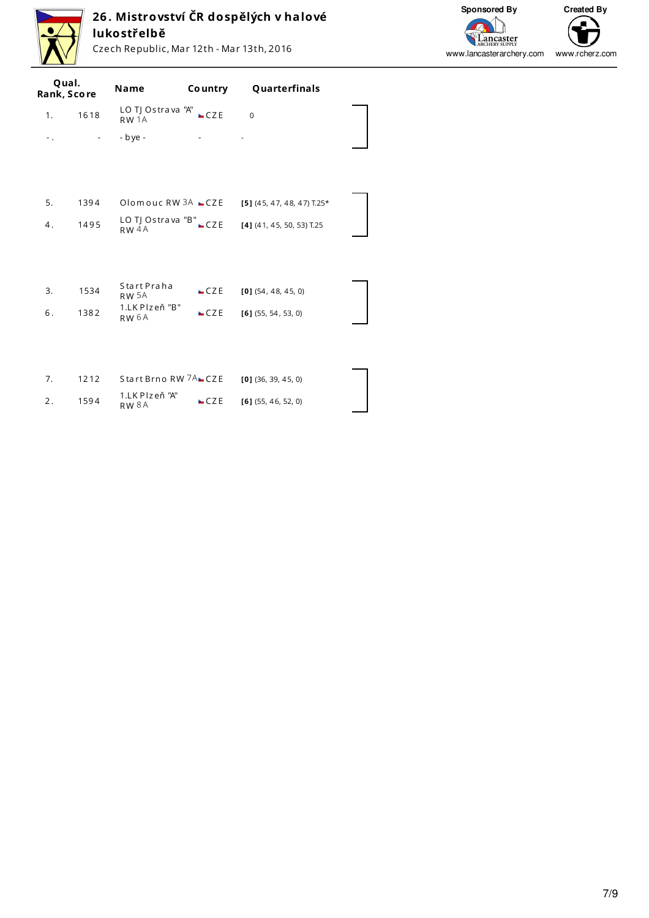

# **26 . Mistrovství ČR dospělých v halové lukostřelbě**

Czech Republic, Mar 12th - Mar 13th, 2016



|    | Qual.<br>Rank, Score | Name                                  | Co untry | Quarterfinals                |  |
|----|----------------------|---------------------------------------|----------|------------------------------|--|
| 1. | 1618                 | LO TJ Ostrava "A"<br>RW <sub>1A</sub> | CZE      | $\Omega$                     |  |
| Ξ. | $\sim$               | $-$ bye $-$                           | $\sim$   | $\overline{\phantom{a}}$     |  |
|    |                      |                                       |          |                              |  |
|    |                      |                                       |          |                              |  |
| 5. | 1394                 | Olomouc RW $3A$ $CZE$                 |          | $[5]$ (45, 47, 48, 47) T.25* |  |
| 4. | 1495                 | LO TJ Ostrava "B" CZE<br>$RW$ 4A      |          | [4] (41, 45, 50, 53) T.25    |  |
|    |                      |                                       |          |                              |  |
|    |                      |                                       |          |                              |  |
| 3. | 1534                 | Start Praha<br><b>RW 5A</b>           | CZE      | $[0]$ (54, 48, 45, 0)        |  |
| 6. | 1382                 | 1.LK Plzeň "B"<br>RW <sub>6A</sub>    | CZE      | $[6]$ (55, 54, 53, 0)        |  |
|    |                      |                                       |          |                              |  |
|    |                      |                                       |          |                              |  |
| 7. | 1212                 | Start Brno RW 7A CZE                  |          | $[0]$ (36, 39, 45, 0)        |  |
| 2. | 1594                 | 1.LK Plzeň "A"<br><b>RW8A</b>         | CZE      | $[6]$ (55, 46, 52, 0)        |  |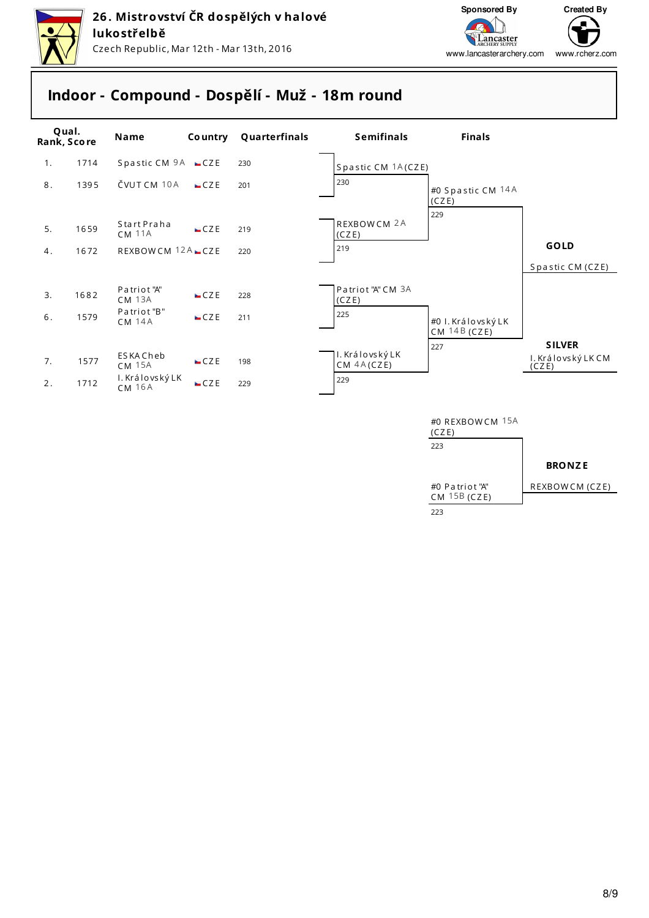



# **Indoor - Compound - Dospělí - Muž - 18m round**